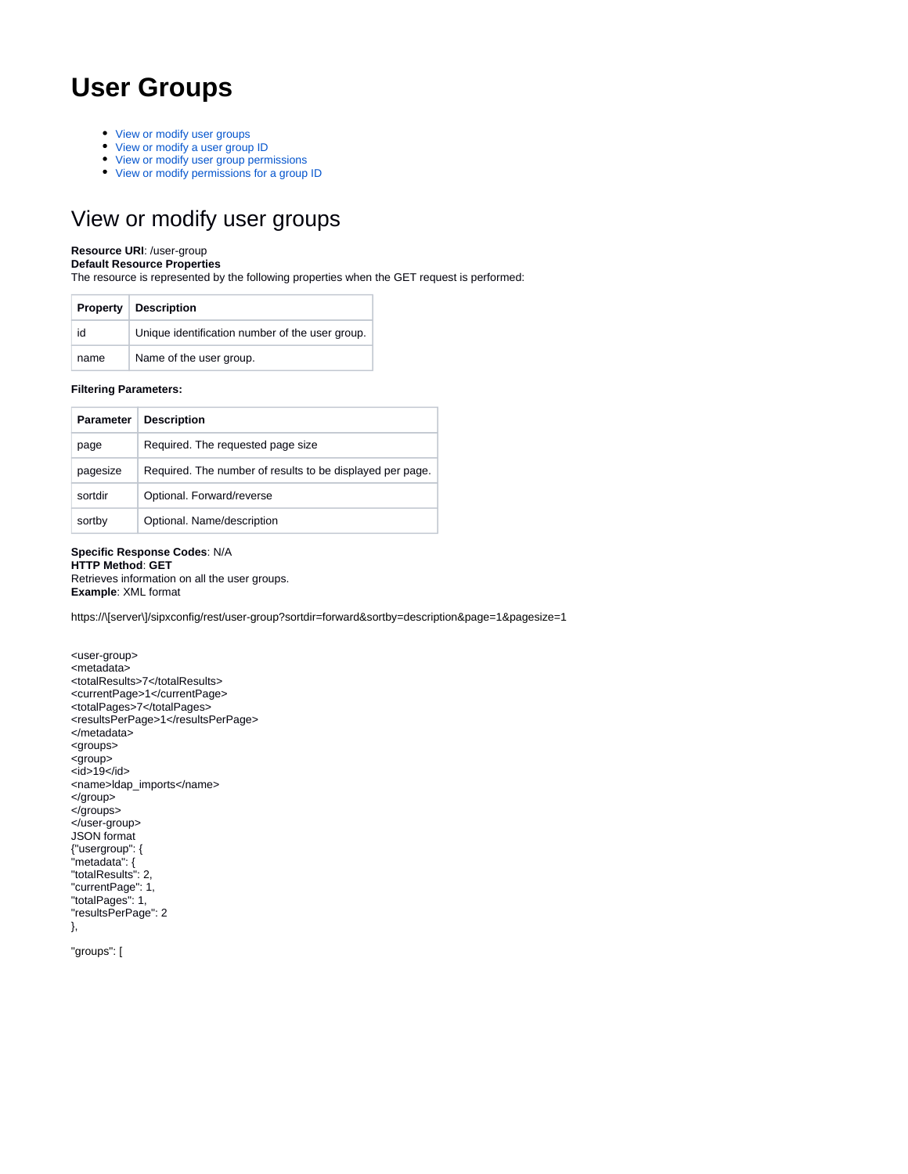# **User Groups**

- [View or modify user groups](#page-0-0)
- [View or modify a user group ID](#page-1-0)
- [View or modify user group permissions](#page-2-0)
- [View or modify permissions for a group ID](#page-2-1)

## <span id="page-0-0"></span>View or modify user groups

### **Resource URI**: /user-group

**Default Resource Properties**

The resource is represented by the following properties when the GET request is performed:

| <b>Property</b> | <b>Description</b>                              |
|-----------------|-------------------------------------------------|
| id              | Unique identification number of the user group. |
| name            | Name of the user group.                         |

### **Filtering Parameters:**

| <b>Parameter</b> | <b>Description</b>                                        |
|------------------|-----------------------------------------------------------|
| page             | Required. The requested page size                         |
| pagesize         | Required. The number of results to be displayed per page. |
| sortdir          | Optional. Forward/reverse                                 |
| sortby           | Optional. Name/description                                |

## **Specific Response Codes**: N/A **HTTP Method**: **GET**

Retrieves information on all the user groups. **Example**: XML format

https://\[server\]/sipxconfig/rest/user-group?sortdir=forward&sortby=description&page=1&pagesize=1

```
<user-group>
<metadata>
<totalResults>7</totalResults>
<currentPage>1</currentPage>
<totalPages>7</totalPages>
<resultsPerPage>1</resultsPerPage>
</metadata>
<groups>
<group>
<sub>id>19</sub>/id></sub>
<name>ldap_imports</name>
</group>
</groups>
</user-group>
JSON format
{"usergroup": {
"metadata": {
"totalResults": 2,
"currentPage": 1,
"totalPages": 1,
"resultsPerPage": 2
},
```
"groups": [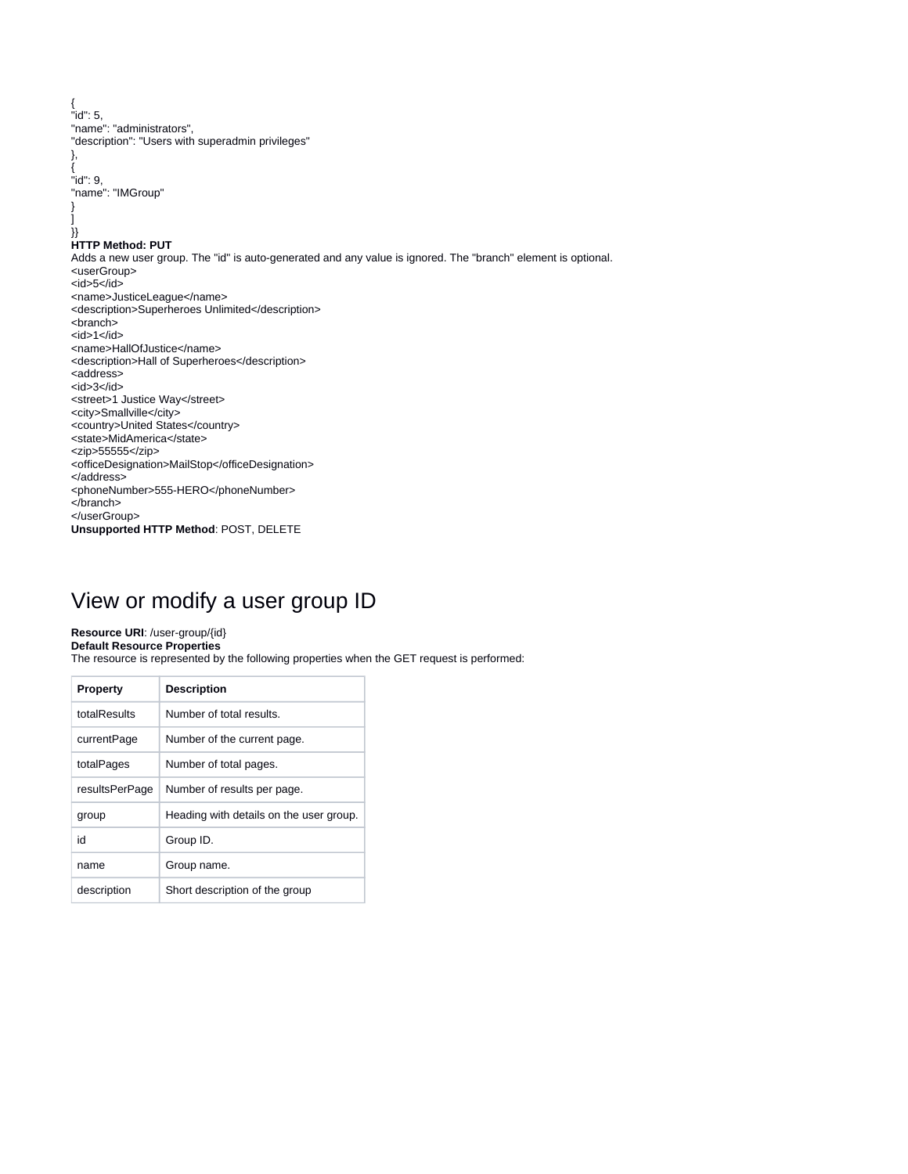{ "id": 5, "name": "administrators", "description": "Users with superadmin privileges" }, { "id": 9, "name": "IMGroup" }  $\perp$ }} **HTTP Method: PUT** Adds a new user group. The "id" is auto-generated and any value is ignored. The "branch" element is optional. <userGroup> <id>5</id> <name>JusticeLeague</name> <description>Superheroes Unlimited</description> <branch>  $<$ id>1 $<$ /id> <name>HallOfJustice</name> <description>Hall of Superheroes</description> <address> <id>3</id> <street>1 Justice Way</street> <city>Smallville</city> <country>United States</country> <state>MidAmerica</state> <zip>55555</zip> <officeDesignation>MailStop</officeDesignation> </address> <phoneNumber>555-HERO</phoneNumber> </branch> </userGroup> **Unsupported HTTP Method**: POST, DELETE

## <span id="page-1-0"></span>View or modify a user group ID

### **Resource URI**: /user-group/{id}

### **Default Resource Properties**

The resource is represented by the following properties when the GET request is performed:

| <b>Property</b> | <b>Description</b>                      |
|-----------------|-----------------------------------------|
| totalResults    | Number of total results.                |
| currentPage     | Number of the current page.             |
| totalPages      | Number of total pages.                  |
| resultsPerPage  | Number of results per page.             |
| group           | Heading with details on the user group. |
| id              | Group ID.                               |
| name            | Group name.                             |
| description     | Short description of the group          |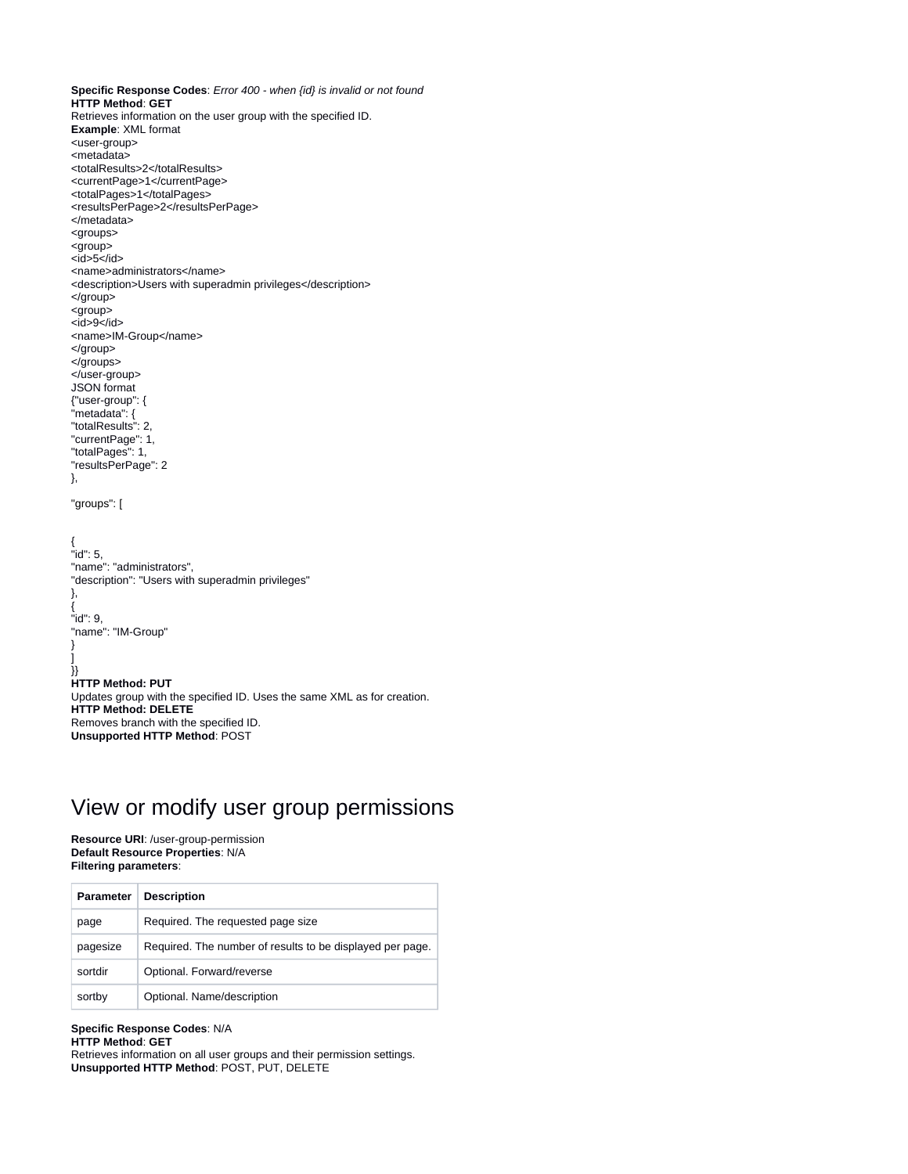**Specific Response Codes**: Error 400 - when {id} is invalid or not found **HTTP Method**: **GET** Retrieves information on the user group with the specified ID. **Example**: XML format <user-group> <metadata> <totalResults>2</totalResults> <currentPage>1</currentPage> <totalPages>1</totalPages> <resultsPerPage>2</resultsPerPage> </metadata> <groups> <group>  $<$ id>5 $<$ /id> <name>administrators</name> <description>Users with superadmin privileges</description> </group> <group>  $<$ id $>9$  $<$ /id $>$ <name>IM-Group</name> </group> </groups> </user-group> JSON format {"user-group": { "metadata": { "totalResults": 2, "currentPage": 1, "totalPages": 1, "resultsPerPage": 2 }, "groups": [ { "id": 5, "name": "administrators", "description": "Users with superadmin privileges" }, { "id": 9, "name": "IM-Group" } ] }} **HTTP Method: PUT** Updates group with the specified ID. Uses the same XML as for creation. **HTTP Method: DELETE** Removes branch with the specified ID. **Unsupported HTTP Method**: POST

## <span id="page-2-0"></span>View or modify user group permissions

**Resource URI**: /user-group-permission **Default Resource Properties**: N/A **Filtering parameters**:

| <b>Parameter</b> | <b>Description</b>                                        |
|------------------|-----------------------------------------------------------|
| page             | Required. The requested page size                         |
| pagesize         | Required. The number of results to be displayed per page. |
| sortdir          | Optional. Forward/reverse                                 |
| sortby           | Optional. Name/description                                |

**Specific Response Codes**: N/A

```
HTTP Method: GET
```
<span id="page-2-1"></span>Retrieves information on all user groups and their permission settings. **Unsupported HTTP Method**: POST, PUT, DELETE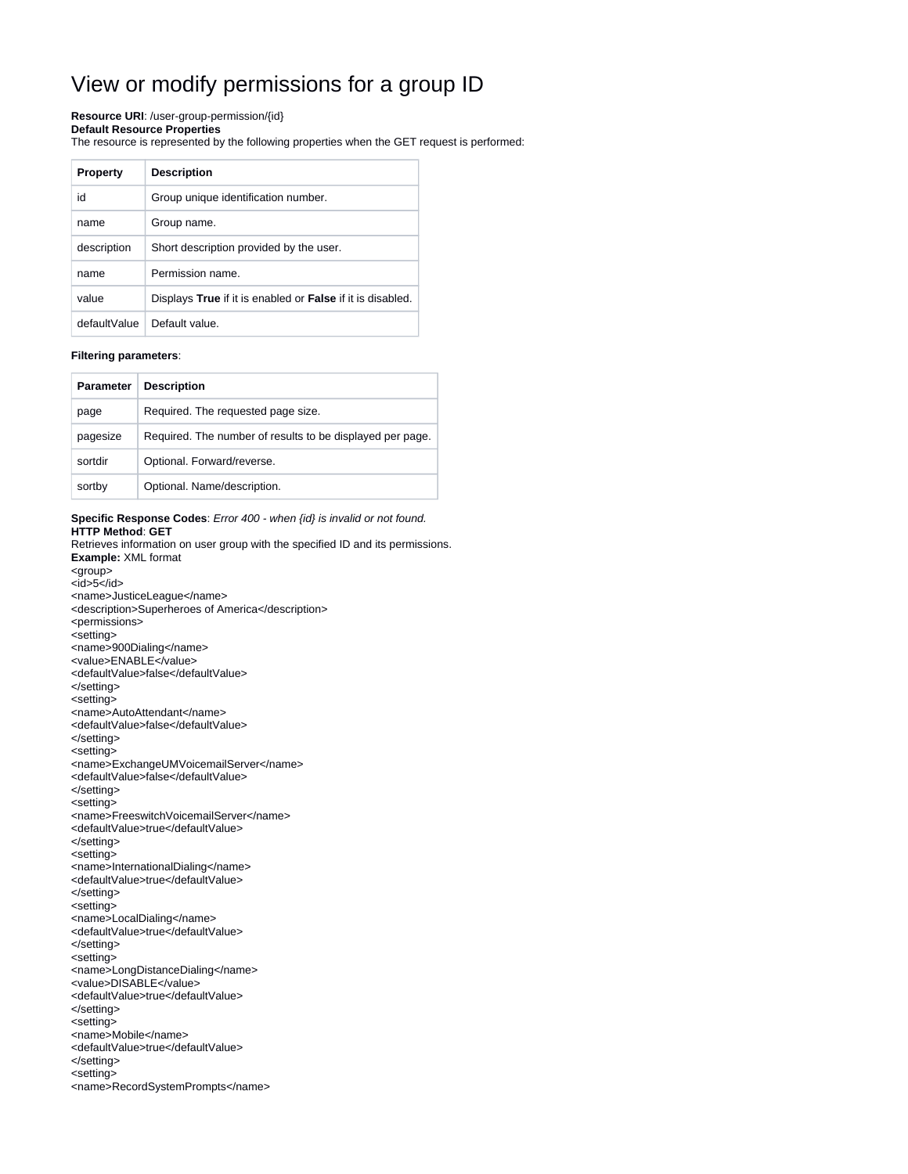## View or modify permissions for a group ID

#### **Resource URI**: /user-group-permission/{id}

#### **Default Resource Properties**

The resource is represented by the following properties when the GET request is performed:

| <b>Property</b> | <b>Description</b>                                         |
|-----------------|------------------------------------------------------------|
| id              | Group unique identification number.                        |
| name            | Group name.                                                |
| description     | Short description provided by the user.                    |
| name            | Permission name.                                           |
| value           | Displays True if it is enabled or False if it is disabled. |
| defaultValue    | Default value.                                             |

#### **Filtering parameters**:

| Parameter | <b>Description</b>                                        |
|-----------|-----------------------------------------------------------|
| page      | Required. The requested page size.                        |
| pagesize  | Required. The number of results to be displayed per page. |
| sortdir   | Optional. Forward/reverse.                                |
| sortby    | Optional. Name/description.                               |

### **Specific Response Codes**: Error 400 - when {id} is invalid or not found. **HTTP Method**: **GET**

Retrieves information on user group with the specified ID and its permissions. **Example:** XML format

- <group>
- $<$  $id$  $>5$  $<$ / $id$  $>$
- <name>JusticeLeague</name>
- <description>Superheroes of America</description> <permissions>
- 
- <setting>
- <name>900Dialing</name>
- <value>ENABLE</value>
- <defaultValue>false</defaultValue>
- </setting> <setting>
- <name>AutoAttendant</name>
- <defaultValue>false</defaultValue>
- </setting>
- <setting>
- <name>ExchangeUMVoicemailServer</name>
- <defaultValue>false</defaultValue>
- </setting>
- <setting>
- <name>FreeswitchVoicemailServer</name>
- <defaultValue>true</defaultValue>
- </setting>
- <setting>
- <name>InternationalDialing</name>
- <defaultValue>true</defaultValue>
- </setting>
- <setting>
- <name>LocalDialing</name>
- <defaultValue>true</defaultValue>
- </setting>
- <setting>
- <name>LongDistanceDialing</name>
- <value>DISABLE</value>
- <defaultValue>true</defaultValue>
- </setting>
- <setting>
- <name>Mobile</name>
- <defaultValue>true</defaultValue>
- </setting>
- <setting>
- <name>RecordSystemPrompts</name>